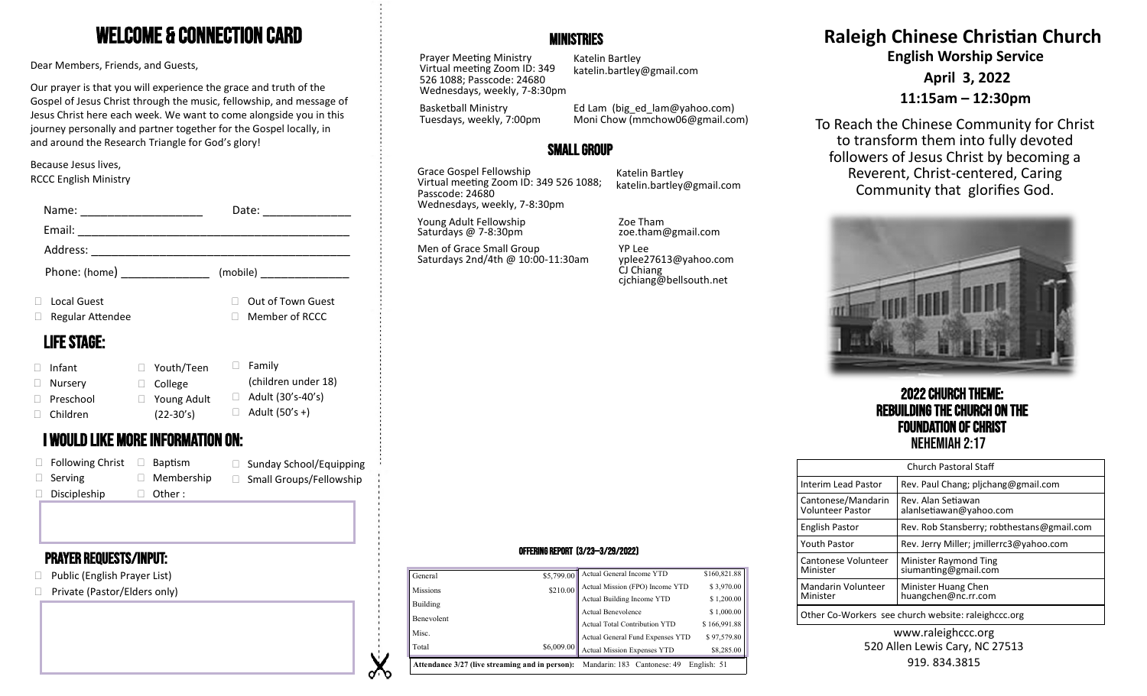# Welcome & Connection Card

Dear Members, Friends, and Guests,

Our prayer is that you will experience the grace and truth of the Gospel of Jesus Christ through the music, fellowship, and message of Jesus Christ here each week. We want to come alongside you in this journey personally and partner together for the Gospel locally, in and around the Research Triangle for God's glory!

#### Because Jesus lives, RCCC English Ministry

| Name:                                      |                                                                     | Date:                                                                                     | Wednesdays, weekly, 7-8:30pm                   |                                                             |                                                       |
|--------------------------------------------|---------------------------------------------------------------------|-------------------------------------------------------------------------------------------|------------------------------------------------|-------------------------------------------------------------|-------------------------------------------------------|
| Email:                                     |                                                                     |                                                                                           | Young Adult Fellowship<br>Saturdays @ 7-8:30pm | Zoe Tham<br>zoe.tham@gmail.com                              |                                                       |
| Address:                                   |                                                                     |                                                                                           | Men of Grace Small Group                       | YP Lee                                                      |                                                       |
| Phone: (home)                              |                                                                     | (mobile)                                                                                  | Saturdays 2nd/4th @ 10:00-11:30am              | yplee27613@yahoo.com<br>CJ Chiang<br>cjchiang@bellsouth.net |                                                       |
| Local Guest<br>Regular Attendee            |                                                                     | Out of Town Guest<br>Member of RCCC                                                       |                                                |                                                             |                                                       |
| <b>LIFE STAGE:</b>                         |                                                                     |                                                                                           |                                                |                                                             |                                                       |
| Infant<br>Nursery<br>Preschool<br>Children | □ Youth/Teen<br>$\Box$ College<br>$\Box$ Young Adult<br>$(22-30's)$ | $\Box$ Family<br>(children under 18)<br>$\Box$ Adult (30's-40's)<br>$\Box$ Adult (50's +) |                                                |                                                             | <b>2022 CHURCH THE</b><br><b>REBUILDING THE CHURC</b> |
|                                            | <b>I WOULD LIKE MORE INFORMATION ON:</b>                            |                                                                                           |                                                |                                                             | <b>FOUNDATION OF CH</b><br><b>NEHEMIAH 2:17</b>       |
| $\Box$ Following Christ                    | $\Box$ Baptism                                                      | □ Sunday School/Equipping                                                                 |                                                |                                                             | Church Pastoral Sta                                   |
| Serving                                    | $\Box$ Membership                                                   | □ Small Groups/Fellowship                                                                 |                                                |                                                             | Rev. Paul Chang: plic<br><b>Interim Lead Pastor</b>   |

□ Other :

# Prayer requests/Input:

 $\square$  Discipleship

□ Public (English Prayer List)

□ Private (Pastor/Elders only)

## **MINISTRIES**

Prayer Meeting Ministry Virtual meeting Zoom ID: 349 526 1088; Passcode: 24680 Wednesdays, weekly, 7-8:30pm

Basketball Ministry

Katelin Bartley katelin.bartley@gmail.com

Tuesdays, weekly, 7:00pm

#### Ed Lam (big\_ed\_lam@yahoo.com) Moni Chow (mmchow06@gmail.com)

# Small Group

Grace Gospel Fellowship Virtual meeting Zoom ID: 349 526 1088; Passcode: 24680 Wednesdays, weekly, 7-8:30pm

Katelin Bartley katelin.bartley@gmail.com **Raleigh Chinese Christian Church**

**English Worship Service**

**April 3, 2022**

# **11:15am – 12:30pm**

To Reach the Chinese Community for Christ to transform them into fully devoted followers of Jesus Christ by becoming a Reverent, Christ-centered, Caring Community that glorifies God.



# 2022 Church Theme: Rebuilding the Church on the **Foundation of Christ**<br>Nehemiah 2:17

| <b>Church Pastoral Staff</b>                        |                                               |  |  |  |
|-----------------------------------------------------|-----------------------------------------------|--|--|--|
| Interim Lead Pastor                                 | Rev. Paul Chang; plichang@gmail.com           |  |  |  |
| Cantonese/Mandarin<br>Volunteer Pastor              | Rev. Alan Setiawan<br>alanlsetiawan@yahoo.com |  |  |  |
| <b>English Pastor</b>                               | Rev. Rob Stansberry; robthestans@gmail.com    |  |  |  |
| <b>Youth Pastor</b>                                 | Rev. Jerry Miller; imillerrc3@yahoo.com       |  |  |  |
| Cantonese Volunteer<br>Minister                     | Minister Raymond Ting<br>siumanting@gmail.com |  |  |  |
| Mandarin Volunteer<br>Minister                      | Minister Huang Chen<br>huangchen@nc.rr.com    |  |  |  |
| Other Co-Workers see church website: raleighccc.org |                                               |  |  |  |

#### www.raleighccc.org 520 Allen Lewis Cary, NC 27513 919.834.3815

#### Offering Report (3/23—3/29/2022)

|                                                           | <b>Benevolent</b><br>Misc. | Actual Total Contribution YTD    | \$166,991.88 |
|-----------------------------------------------------------|----------------------------|----------------------------------|--------------|
| Total<br>\$6,009.00<br><b>Actual Mission Expenses YTD</b> |                            | Actual General Fund Expenses YTD | \$97,579.80  |